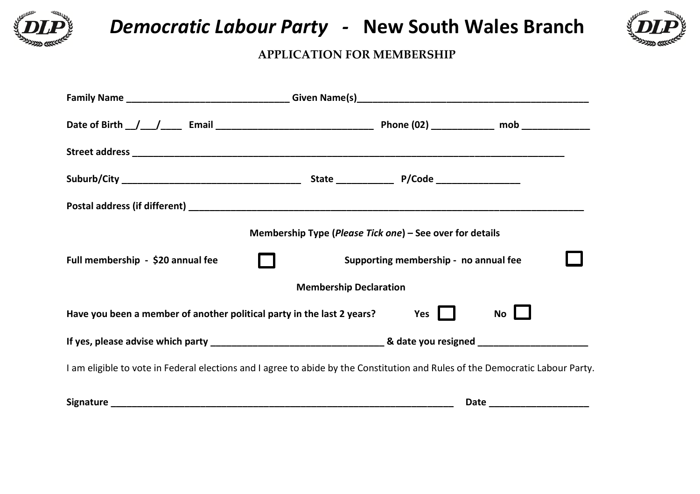

 *Democratic Labour Party -* **New South Wales Branch** 



## **APPLICATION FOR MEMBERSHIP**

|                                                                                                                               | Membership Type (Please Tick one) – See over for details |                                       |                             |  |
|-------------------------------------------------------------------------------------------------------------------------------|----------------------------------------------------------|---------------------------------------|-----------------------------|--|
| Full membership - \$20 annual fee                                                                                             |                                                          | Supporting membership - no annual fee |                             |  |
|                                                                                                                               | <b>Membership Declaration</b>                            |                                       |                             |  |
| Have you been a member of another political party in the last 2 years?                                                        |                                                          | Yes II                                | No                          |  |
|                                                                                                                               |                                                          |                                       |                             |  |
| I am eligible to vote in Federal elections and I agree to abide by the Constitution and Rules of the Democratic Labour Party. |                                                          |                                       |                             |  |
|                                                                                                                               |                                                          |                                       | Date ______________________ |  |